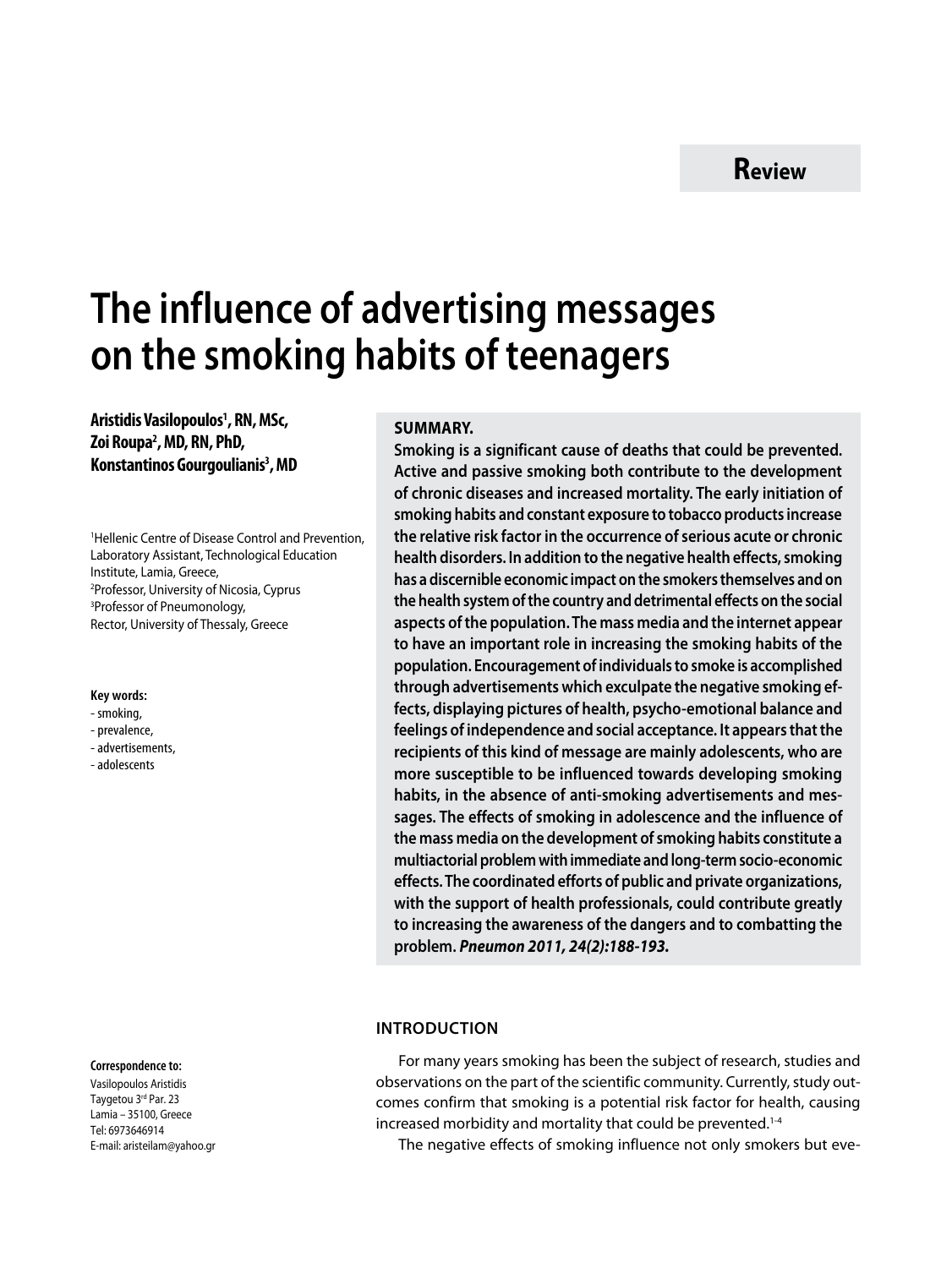# **The influence of advertising messages on the smoking habits of teenagers**

**Aristidis Vasilopoulos1 , RN, MSc, Ζoi Roupa2 , MD, RN, PhD, Konstantinos Gourgoulianis<sup>3</sup>, MD** 

1 Hellenic Centre of Disease Control and Prevention, Laboratory Assistant, Technological Education Institute, Lamia, Greece, 2 Professor, University of Nicosia, Cyprus 3 Professor of Pneumonology, Rector, University of Thessaly, Greece

#### **Key words:**

- smoking,
- prevalence,
- advertisements,
- adolescents

#### **Correspondence to:**

Vasilopoulos Aristidis Τaygetou 3rd Par. 23 Lamia – 35100, Greece Tel: 6973646914 Ε-mail: aristeilam@yahoo.gr

#### **SUMMARY.**

**Smoking is a significant cause of deaths that could be prevented. Active and passive smoking both contribute to the development of chronic diseases and increased mortality. The early initiation of smoking habits and constant exposure to tobacco products increase the relative risk factor in the occurrence of serious acute or chronic health disorders. In addition to the negative health effects, smoking has a discernible economic impact on the smokers themselves and on the health system of the country and detrimental effects on the social aspects of the population. The mass media and the internet appear to have an important role in increasing the smoking habits of the population. Encouragement of individuals to smoke is accomplished through advertisements which exculpate the negative smoking effects, displaying pictures of health, psycho-emotional balance and feelings of independence and social acceptance. It appears that the recipients of this kind of message are mainly adolescents, who are more susceptible to be influenced towards developing smoking habits, in the absence of anti-smoking advertisements and messages. The effects of smoking in adolescence and the influence of the mass media on the development of smoking habits constitute a multiactorial problem with immediate and long-term socio-economic effects. The coordinated efforts of public and private organizations, with the support of health professionals, could contribute greatly to increasing the awareness of the dangers and to combatting the problem.** *Pneumon 2011, 24(2):188-193.*

#### **Introduction**

For many years smoking has been the subject of research, studies and observations on the part of the scientific community. Currently, study outcomes confirm that smoking is a potential risk factor for health, causing increased morbidity and mortality that could be prevented.<sup>1-4</sup>

The negative effects of smoking influence not only smokers but eve-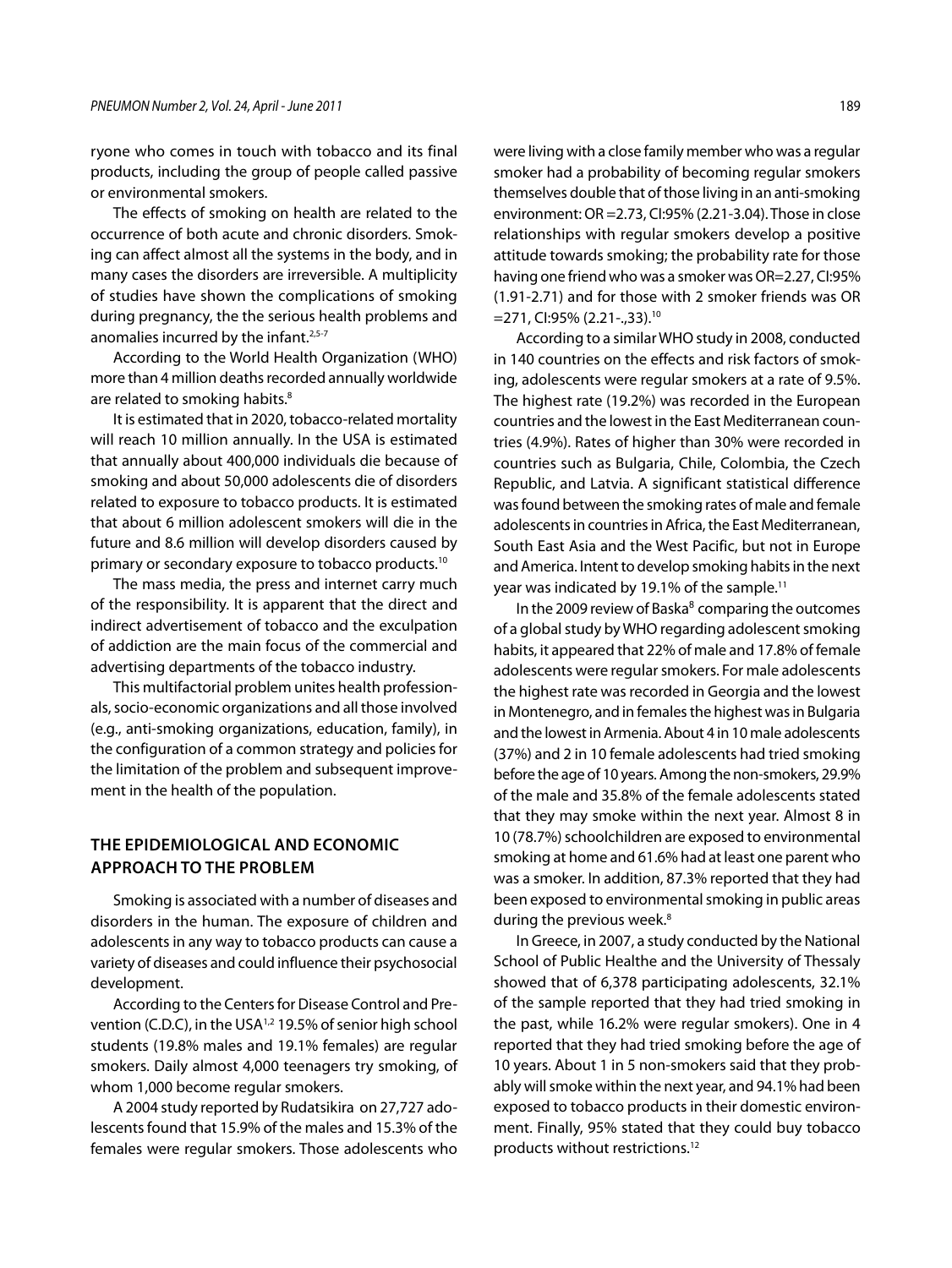ryone who comes in touch with tobacco and its final products, including the group of people called passive or environmental smokers.

The effects of smoking on health are related to the occurrence of both acute and chronic disorders. Smoking can affect almost all the systems in the body, and in many cases the disorders are irreversible. A multiplicity of studies have shown the complications of smoking during pregnancy, the the serious health problems and anomalies incurred by the infant.<sup>2,5-7</sup>

According to the World Health Organization (WHO) more than 4 million deaths recorded annually worldwide are related to smoking habits.<sup>8</sup>

It is estimated that in 2020, tobacco-related mortality will reach 10 million annually. In the USA is estimated that annually about 400,000 individuals die because of smoking and about 50,000 adolescents die of disorders related to exposure to tobacco products. It is estimated that about 6 million adolescent smokers will die in the future and 8.6 million will develop disorders caused by primary or secondary exposure to tobacco products.10

The mass media, the press and internet carry much of the responsibility. It is apparent that the direct and indirect advertisement of tobacco and the exculpation of addiction are the main focus of the commercial and advertising departments of the tobacco industry.

This multifactorial problem unites health professionals, socio-economic organizations and all those involved (e.g., anti-smoking organizations, education, family), in the configuration of a common strategy and policies for the limitation of the problem and subsequent improvement in the health of the population.

## **THE EPIDEMIOLOGICAL AND ECONOMIC APPROACH TO THE PROBLEM**

Smoking is associated with a number of diseases and disorders in the human. The exposure of children and adolescents in any way to tobacco products can cause a variety of diseases and could influence their psychosocial development.

According to the Centers for Disease Control and Prevention (C.D.C), in the USA<sup>1,2</sup> 19.5% of senior high school students (19.8% males and 19.1% females) are regular smokers. Daily almost 4,000 teenagers try smoking, of whom 1,000 become regular smokers.

A 2004 study reported by Rudatsikira on 27,727 adolescents found that 15.9% of the males and 15.3% of the females were regular smokers. Those adolescents who were living with a close family member who was a regular smoker had a probability of becoming regular smokers themselves double that of those living in an anti-smoking environment: OR =2.73, CI:95% (2.21-3.04). Those in close relationships with regular smokers develop a positive attitude towards smoking; the probability rate for those having one friend who was a smoker was OR=2.27, CI:95% (1.91-2.71) and for those with 2 smoker friends was OR =271, CI:95% (2.21-.,33).10

According to a similar WHO study in 2008, conducted in 140 countries on the effects and risk factors of smoking, adolescents were regular smokers at a rate of 9.5%. The highest rate (19.2%) was recorded in the European countries and the lowest in the East Mediterranean countries (4.9%). Rates of higher than 30% were recorded in countries such as Bulgaria, Chile, Colombia, the Czech Republic, and Latvia. A significant statistical difference was found between the smoking rates of male and female adolescents in countries in Africa, the East Mediterranean, South East Asia and the West Pacific, but not in Europe and America. Intent to develop smoking habits in the next year was indicated by 19.1% of the sample.11

In the 2009 review of Baska $8$  comparing the outcomes of a global study by WHO regarding adolescent smoking habits, it appeared that 22% of male and 17.8% of female adolescents were regular smokers. For male adolescents the highest rate was recorded in Georgia and the lowest in Montenegro, and in females the highest was in Bulgaria and the lowest in Armenia. About 4 in 10 male adolescents (37%) and 2 in 10 female adolescents had tried smoking before the age of 10 years. Among the non-smokers, 29.9% of the male and 35.8% of the female adolescents stated that they may smoke within the next year. Almost 8 in 10 (78.7%) schoolchildren are exposed to environmental smoking at home and 61.6% had at least one parent who was a smoker. In addition, 87.3% reported that they had been exposed to environmental smoking in public areas during the previous week.<sup>8</sup>

In Greece, in 2007, a study conducted by the National School of Public Healthe and the University of Thessaly showed that of 6,378 participating adolescents, 32.1% of the sample reported that they had tried smoking in the past, while 16.2% were regular smokers). One in 4 reported that they had tried smoking before the age of 10 years. About 1 in 5 non-smokers said that they probably will smoke within the next year, and 94.1% had been exposed to tobacco products in their domestic environment. Finally, 95% stated that they could buy tobacco products without restrictions.12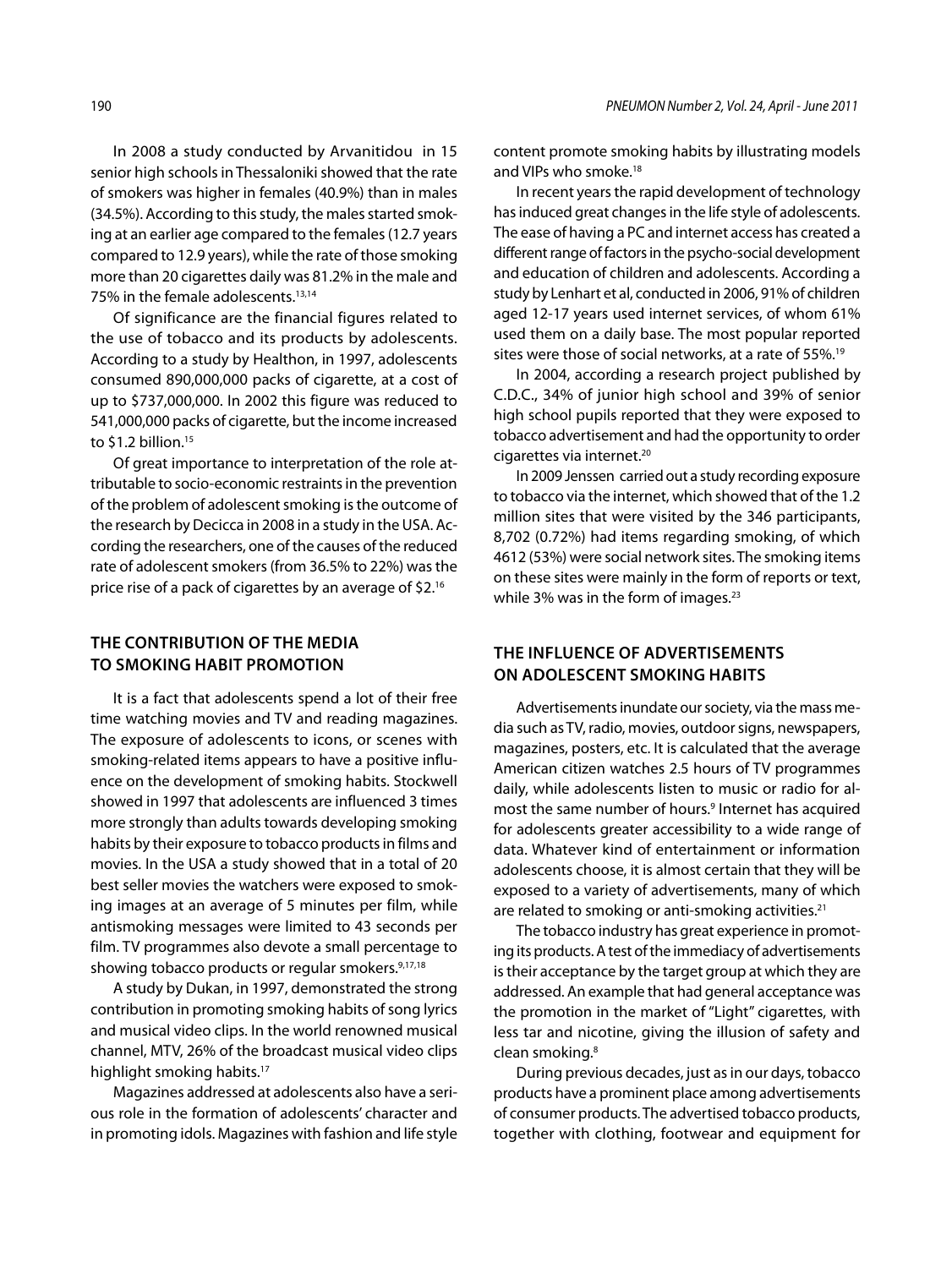In 2008 a study conducted by Arvanitidou in 15 senior high schools in Thessaloniki showed that the rate of smokers was higher in females (40.9%) than in males (34.5%). According to this study, the males started smoking at an earlier age compared to the females (12.7 years compared to 12.9 years), while the rate of those smoking more than 20 cigarettes daily was 81.2% in the male and 75% in the female adolescents.<sup>13,14</sup>

Of significance are the financial figures related to the use of tobacco and its products by adolescents. According to a study by Healthon, in 1997, adolescents consumed 890,000,000 packs of cigarette, at a cost of up to \$737,000,000. In 2002 this figure was reduced to 541,000,000 packs of cigarette, but the income increased to \$1.2 billion.<sup>15</sup>

Of great importance to interpretation of the role attributable to socio-economic restraints in the prevention of the problem of adolescent smoking is the outcome of the research by Decicca in 2008 in a study in the USA. According the researchers, one of the causes of the reduced rate of adolescent smokers (from 36.5% to 22%) was the price rise of a pack of cigarettes by an average of \$2.16

## **THE CONTRIBUTION OF THE MEDIA TO SMOKING HABIT PROMOTION**

It is a fact that adolescents spend a lot of their free time watching movies and TV and reading magazines. The exposure of adolescents to icons, or scenes with smoking-related items appears to have a positive influence on the development of smoking habits. Stockwell showed in 1997 that adolescents are influenced 3 times more strongly than adults towards developing smoking habits by their exposure to tobacco products in films and movies. In the USA a study showed that in a total of 20 best seller movies the watchers were exposed to smoking images at an average of 5 minutes per film, while antismoking messages were limited to 43 seconds per film. TV programmes also devote a small percentage to showing tobacco products or regular smokers.<sup>9,17,18</sup>

A study by Dukan, in 1997, demonstrated the strong contribution in promoting smoking habits of song lyrics and musical video clips. In the world renowned musical channel, MTV, 26% of the broadcast musical video clips highlight smoking habits.<sup>17</sup>

Magazines addressed at adolescents also have a serious role in the formation of adolescents' character and in promoting idols. Magazines with fashion and life style content promote smoking habits by illustrating models and VIPs who smoke.<sup>18</sup>

In recent years the rapid development of technology has induced great changes in the life style of adolescents. The ease of having a PC and internet access has created a different range of factors in the psycho-social development and education of children and adolescents. According a study by Lenhart et al, conducted in 2006, 91% of children aged 12-17 years used internet services, of whom 61% used them on a daily base. The most popular reported sites were those of social networks, at a rate of 55%.<sup>19</sup>

In 2004, according a research project published by C.D.C., 34% of junior high school and 39% of senior high school pupils reported that they were exposed to tobacco advertisement and had the opportunity to order cigarettes via internet.<sup>20</sup>

In 2009 Jenssen carried out a study recording exposure to tobacco via the internet, which showed that of the 1.2 million sites that were visited by the 346 participants, 8,702 (0.72%) had items regarding smoking, of which 4612 (53%) were social network sites. The smoking items on these sites were mainly in the form of reports or text, while 3% was in the form of images.<sup>23</sup>

# **THE INFLUENCE OF ADVERTISEMENTS ON ADOLESCENT SMOKING HABITS**

Advertisements inundate our society, via the mass media such as TV, radio, movies, outdoor signs, newspapers, magazines, posters, etc. It is calculated that the average American citizen watches 2.5 hours of TV programmes daily, while adolescents listen to music or radio for almost the same number of hours.<sup>9</sup> Internet has acquired for adolescents greater accessibility to a wide range of data. Whatever kind of entertainment or information adolescents choose, it is almost certain that they will be exposed to a variety of advertisements, many of which are related to smoking or anti-smoking activities.<sup>21</sup>

The tobacco industry has great experience in promoting its products. A test of the immediacy of advertisements is their acceptance by the target group at which they are addressed. An example that had general acceptance was the promotion in the market of "Light" cigarettes, with less tar and nicotine, giving the illusion of safety and clean smoking.8

During previous decades, just as in our days, tobacco products have a prominent place among advertisements of consumer products. The advertised tobacco products, together with clothing, footwear and equipment for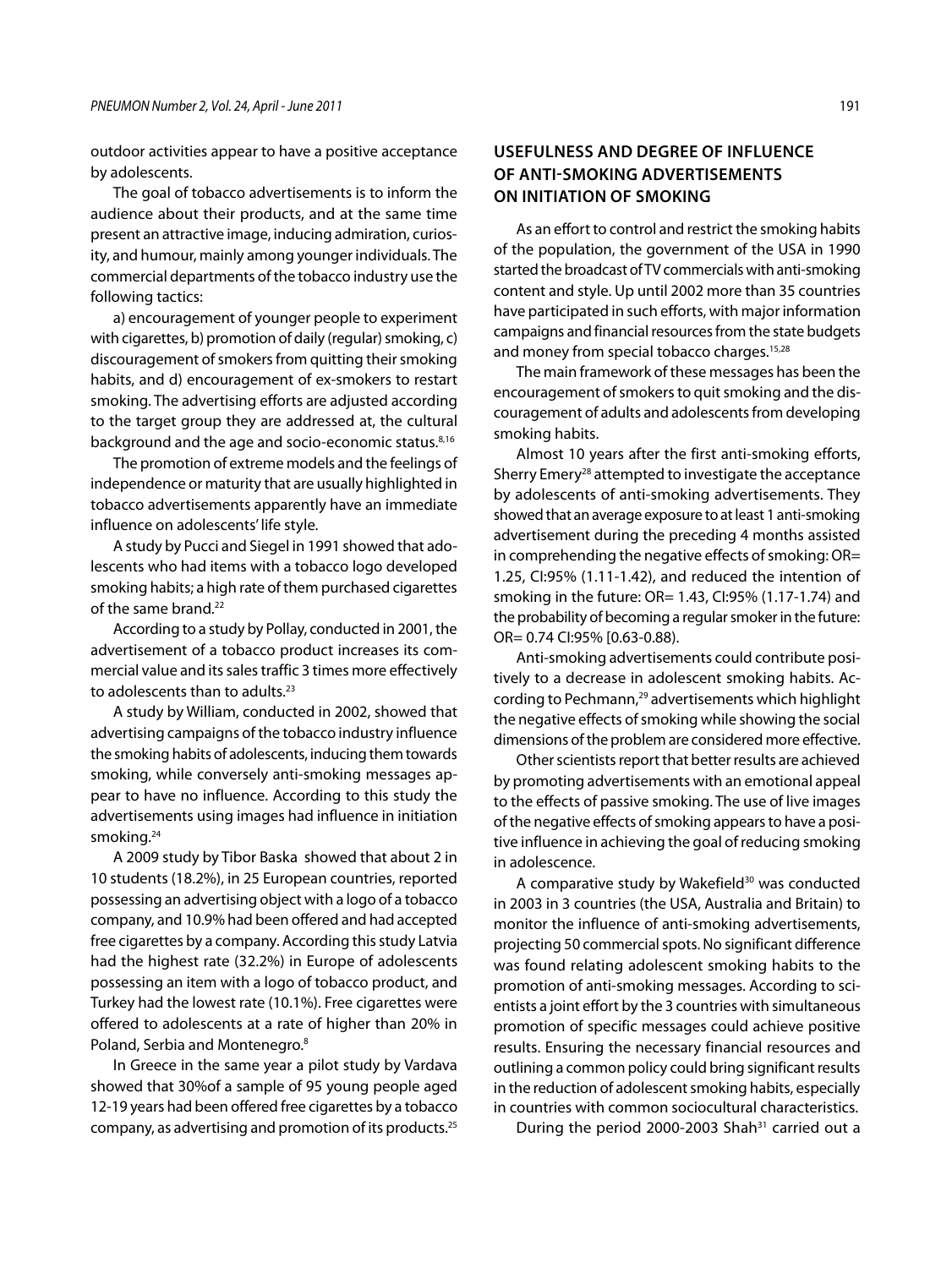outdoor activities appear to have a positive acceptance by adolescents.

The goal of tobacco advertisements is to inform the audience about their products, and at the same time present an attractive image, inducing admiration, curiosity, and humour, mainly among younger individuals. The commercial departments of the tobacco industry use the following tactics:

a) encouragement of younger people to experiment with cigarettes, b) promotion of daily (regular) smoking, c) discouragement of smokers from quitting their smoking habits, and d) encouragement of ex-smokers to restart smoking. The advertising efforts are adjusted according to the target group they are addressed at, the cultural background and the age and socio-economic status.8,16

The promotion of extreme models and the feelings of independence or maturity that are usually highlighted in tobacco advertisements apparently have an immediate influence on adolescents' life style.

A study by Pucci and Siegel in 1991 showed that adolescents who had items with a tobacco logo developed smoking habits; a high rate of them purchased cigarettes of the same brand.<sup>22</sup>

According to a study by Pollay, conducted in 2001, the advertisement of a tobacco product increases its commercial value and its sales traffic 3 times more effectively to adolescents than to adults.<sup>23</sup>

A study by William, conducted in 2002, showed that advertising campaigns of the tobacco industry influence the smoking habits of adolescents, inducing them towards smoking, while conversely anti-smoking messages appear to have no influence. According to this study the advertisements using images had influence in initiation smoking.<sup>24</sup>

A 2009 study by Tibor Baska showed that about 2 in 10 students (18.2%), in 25 European countries, reported possessing an advertising object with a logo of a tobacco company, and 10.9% had been offered and had accepted free cigarettes by a company. According this study Latvia had the highest rate (32.2%) in Europe of adolescents possessing an item with a logo of tobacco product, and Turkey had the lowest rate (10.1%). Free cigarettes were offered to adolescents at a rate of higher than 20% in Poland, Serbia and Montenegro.8

In Greece in the same year a pilot study by Vardava showed that 30%of a sample of 95 young people aged 12-19 years had been offered free cigarettes by a tobacco company, as advertising and promotion of its products.25

# **USEFULNESS AND DEGREE OF INFLUENCE OF ANTI-SMOKING ADVERTISEMENTS oN INITIATION OF SMOKING**

As an effort to control and restrict the smoking habits of the population, the government of the USA in 1990 started the broadcast of TV commercials with anti-smoking content and style. Up until 2002 more than 35 countries have participated in such efforts, with major information campaigns and financial resources from the state budgets and money from special tobacco charges.<sup>15,28</sup>

The main framework of these messages has been the encouragement of smokers to quit smoking and the discouragement of adults and adolescents from developing smoking habits.

Almost 10 years after the first anti-smoking efforts, Sherry Emery<sup>28</sup> attempted to investigate the acceptance by adolescents of anti-smoking advertisements. They showed that an average exposure to at least 1 anti-smoking advertisement during the preceding 4 months assisted in comprehending the negative effects of smoking: OR= 1.25, CI:95% (1.11-1.42), and reduced the intention of smoking in the future: OR= 1.43, CI:95% (1.17-1.74) and the probability of becoming a regular smoker in the future: OR= 0.74 CI:95% [0.63-0.88).

Anti-smoking advertisements could contribute positively to a decrease in adolescent smoking habits. According to Pechmann,29 advertisements which highlight the negative effects of smoking while showing the social dimensions of the problem are considered more effective.

Other scientists report that better results are achieved by promoting advertisements with an emotional appeal to the effects of passive smoking. The use of live images of the negative effects of smoking appears to have a positive influence in achieving the goal of reducing smoking in adolescence.

A comparative study by Wakefield<sup>30</sup> was conducted in 2003 in 3 countries (the USA, Australia and Britain) to monitor the influence of anti-smoking advertisements, projecting 50 commercial spots. No significant difference was found relating adolescent smoking habits to the promotion of anti-smoking messages. According to scientists a joint effort by the 3 countries with simultaneous promotion of specific messages could achieve positive results. Ensuring the necessary financial resources and outlining a common policy could bring significant results in the reduction of adolescent smoking habits, especially in countries with common sociocultural characteristics.

During the period 2000-2003 Shah $31$  carried out a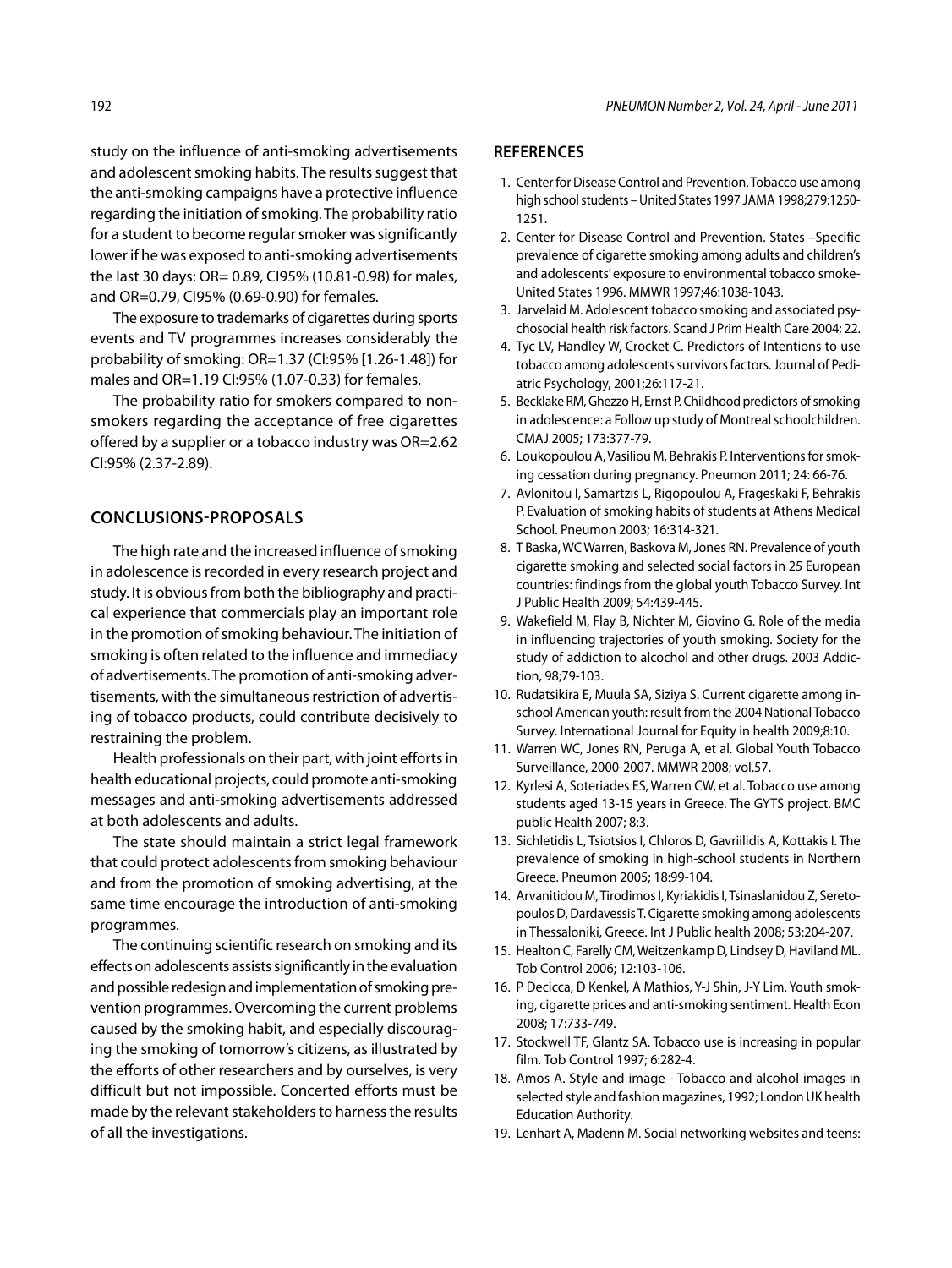study on the influence of anti-smoking advertisements and adolescent smoking habits. The results suggest that the anti-smoking campaigns have a protective influence regarding the initiation of smoking. The probability ratio for a student to become regular smoker was significantly lower if he was exposed to anti-smoking advertisements the last 30 days: OR= 0.89, CI95% (10.81-0.98) for males, and OR=0.79, CI95% (0.69-0.90) for females.

The exposure to trademarks of cigarettes during sports events and TV programmes increases considerably the probability of smoking: OR=1.37 (CI:95% [1.26-1.48]) for males and OR=1.19 CI:95% (1.07-0.33) for females.

The probability ratio for smokers compared to nonsmokers regarding the acceptance of free cigarettes offered by a supplier or a tobacco industry was OR=2.62 CI:95% (2.37-2.89).

## **CONCLUSIONS-PROPOSALS**

The high rate and the increased influence of smoking in adolescence is recorded in every research project and study. It is obvious from both the bibliography and practical experience that commercials play an important role in the promotion of smoking behaviour. The initiation of smoking is often related to the influence and immediacy of advertisements. The promotion of anti-smoking advertisements, with the simultaneous restriction of advertising of tobacco products, could contribute decisively to restraining the problem.

Health professionals on their part, with joint efforts in health educational projects, could promote anti-smoking messages and anti-smoking advertisements addressed at both adolescents and adults.

The state should maintain a strict legal framework that could protect adolescents from smoking behaviour and from the promotion of smoking advertising, at the same time encourage the introduction of anti-smoking programmes.

The continuing scientific research on smoking and its effects on adolescents assists significantly in the evaluation and possible redesign and implementation of smoking prevention programmes. Overcoming the current problems caused by the smoking habit, and especially discouraging the smoking of tomorrow's citizens, as illustrated by the efforts of other researchers and by ourselves, is very difficult but not impossible. Concerted efforts must be made by the relevant stakeholders to harness the results of all the investigations.

## **REFERENCES**

- 1. Center for Disease Control and Prevention. Tobacco use among high school students – United States 1997 Jama 1998;279:1250- 1251.
- 2. Center for Disease Control and Prevention. States –Specific prevalence of cigarette smoking among adults and children's and adolescents' exposure to environmental tobacco smoke-United States 1996. MMWR 1997;46:1038-1043.
- 3. Jarvelaid M. Adolescent tobacco smoking and associated psychosocial health risk factors. Scand J Prim Health Care 2004; 22.
- 4. Tyc LV, Handley W, Crocket C. Predictors of Intentions to use tobacco among adolescents survivors factors. Journal of Pediatric Psychology, 2001;26:117-21.
- 5. Becklake RM, Ghezzo H, Ernst P. Childhood predictors of smoking in adolescence: a Follow up study of Montreal schoolchildren. CMAJ 2005; 173:377-79.
- 6. Loukopoulou A, Vasiliou M, Behrakis P. Interventions for smoking cessation during pregnancy. Pneumon 2011; 24: 66-76.
- 7. Avlonitou Ι, Samartzis L, Rigopoulou A, Frageskaki F, Behrakis P. Evaluation of smoking habits of students at Athens Medical School. Pneumon 2003; 16:314-321.
- 8. T Baska, WC Warren, Baskova M, Jones RN. Prevalence of youth cigarette smoking and selected social factors in 25 European countries: findings from the global youth Tobacco Survey. Int J Public Health 2009; 54:439-445.
- 9. Wakefield M, Flay B, Nichter M, Giovino G. Role of the media in influencing trajectories of youth smoking. Society for the study of addiction to alcochol and other drugs. 2003 Addiction, 98;79-103.
- 10. Rudatsikira E, Muula SA, Siziya S. Current cigarette among inschool American youth: result from the 2004 National Tobacco Survey. International Journal for Equity in health 2009;8:10.
- 11. Warren WC, Jones RN, Peruga A, et al. Global Youth Tobacco Surveillance, 2000-2007. MMWR 2008; vol.57.
- 12. Kyrlesi A, Soteriades ES, Warren CW, et al. Tobacco use among students aged 13-15 years in Greece. The GYTS project. BMC public Health 2007; 8:3.
- 13. Sichletidis L, Tsiotsios I, Chloros D, Gavriilidis A, Kottakis I. The prevalence of smoking in high-school students in Northern Greece. Pneumon 2005; 18:99-104.
- 14. Arvanitidou M, Tirodimos I, Kyriakidis I, Tsinaslanidou Z, Seretopoulos D, Dardavessis T. Cigarette smoking among adolescents in Thessaloniki, Greece. Int J Public health 2008; 53:204-207.
- 15. Healton C, Farelly CM, Weitzenkamp D, Lindsey D, Haviland ML. Tob Control 2006; 12:103-106.
- 16. P Decicca, D Kenkel, A Mathios, Y-J Shin, J-Y Lim. Youth smoking, cigarette prices and anti-smoking sentiment. Health Econ 2008; 17:733-749.
- 17. Stockwell TF, Glantz SA. Tobacco use is increasing in popular film. Tob Control 1997; 6:282-4.
- 18. Amos A. Style and image Tobacco and alcohol images in selected style and fashion magazines, 1992; London UK health Education Authority.
- 19. Lenhart A, Madenn M. Social networking websites and teens: